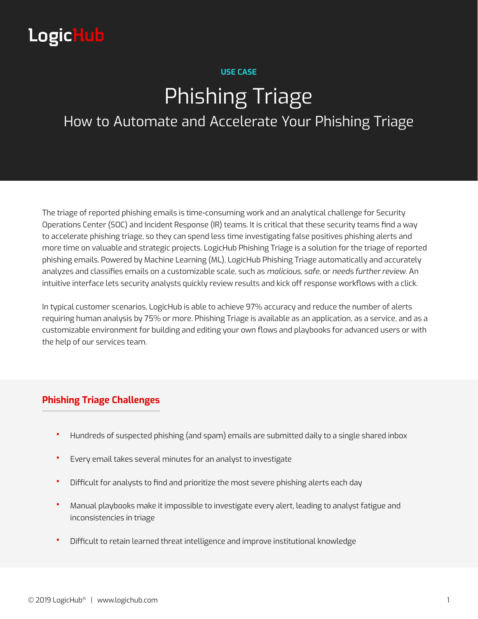# **LogicHub**

#### **USE CASE**

# Phishing Triage

# How to Automate and Accelerate Your Phishing Triage

The triage of reported phishing emails is time-consuming work and an analytical challenge for Security Operations Center (SOC) and Incident Response (IR) teams. It is critical that these security teams find a way to accelerate phishing triage, so they can spend less time investigating false positives phishing alerts and more time on valuable and strategic projects. LogicHub Phishing Triage is a solution for the triage of reported phishing emails. Powered by Machine Learning (ML), LogicHub Phishing Triage automatically and accurately analyzes and classifies emails on a customizable scale, such as *malicious*, *safe*, or *needs further review*. An intuitive interface lets security analysts quickly review results and kick off response workflows with a click.

In typical customer scenarios, LogicHub is able to achieve 97% accuracy and reduce the number of alerts requiring human analysis by 75% or more. Phishing Triage is available as an application, as a service, and as a customizable environment for building and editing your own flows and playbooks for advanced users or with the help of our services team.

## **Phishing Triage Challenges**

- **•** Hundreds of suspected phishing (and spam) emails are submitted daily to a single shared inbox
- **•** Every email takes several minutes for an analyst to investigate
- **•** Difficult for analysts to find and prioritize the most severe phishing alerts each day
- **•** Manual playbooks make it impossible to investigate every alert, leading to analyst fatigue and inconsistencies in triage
- **•** Difficult to retain learned threat intelligence and improve institutional knowledge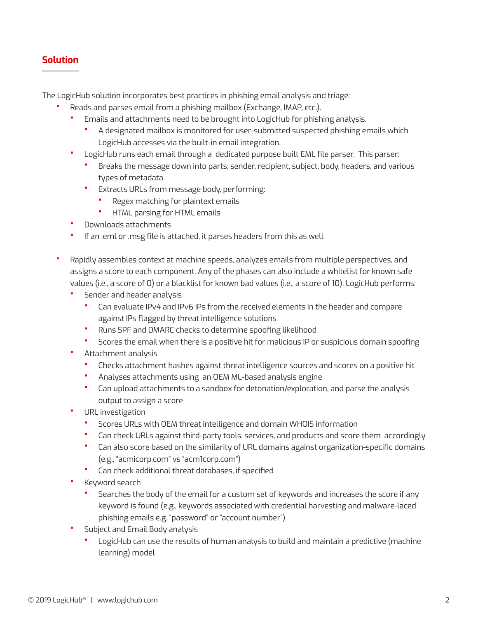### **Solution**

The LogicHub solution incorporates best practices in phishing email analysis and triage:

- **•** Reads and parses email from a phishing mailbox (Exchange, IMAP, etc.).
	- **•** Emails and attachments need to be brought into LogicHub for phishing analysis.
		- **•** A designated mailbox is monitored for user-submitted suspected phishing emails which LogicHub accesses via the built-in email integration.
	- **•** LogicHub runs each email through a dedicated purpose built EML file parser. This parser:
		- **•** Breaks the message down into parts; sender, recipient, subject, body, headers, and various types of metadata
		- **•** Extracts URLs from message body, performing:
			- **•** Regex matching for plaintext emails
			- **•** HTML parsing for HTML emails
	- **•** Downloads attachments
	- **•** If an .eml or .msg file is attached, it parses headers from this as well
- **•** Rapidly assembles context at machine speeds, analyzes emails from multiple perspectives, and assigns a score to each component. Any of the phases can also include a whitelist for known safe values (i.e., a score of 0) or a blacklist for known bad values (i.e., a score of 10). LogicHub performs:
	- **•** Sender and header analysis
		- **•** Can evaluate IPv4 and IPv6 IPs from the received elements in the header and compare against IPs flagged by threat intelligence solutions
		- **•** Runs SPF and DMARC checks to determine spoofing likelihood
		- **•** Scores the email when there is a positive hit for malicious IP or suspicious domain spoofing
	- **•** Attachment analysis
		- **•** Checks attachment hashes against threat intelligence sources and scores on a positive hit
		- **•** Analyses attachments using an OEM ML-based analysis engine
		- **•** Can upload attachments to a sandbox for detonation/exploration, and parse the analysis output to assign a score
	- **•** URL investigation
		- **•** Scores URLs with OEM threat intelligence and domain WHOIS information
		- **•** Can check URLs against third-party tools, services, and products and score them accordingly
		- **•** Can also score based on the similarity of URL domains against organization-specific domains (e.g., "acmicorp.com" vs "acm1corp.com")
		- **•** Can check additional threat databases, if specified
	- **•** Keyword search
		- **•** Searches the body of the email for a custom set of keywords and increases the score if any keyword is found (e.g., keywords associated with credential harvesting and malware-laced phishing emails e.g. "password" or "account number")
	- **•** Subject and Email Body analysis
		- **•** LogicHub can use the results of human analysis to build and maintain a predictive (machine learning) model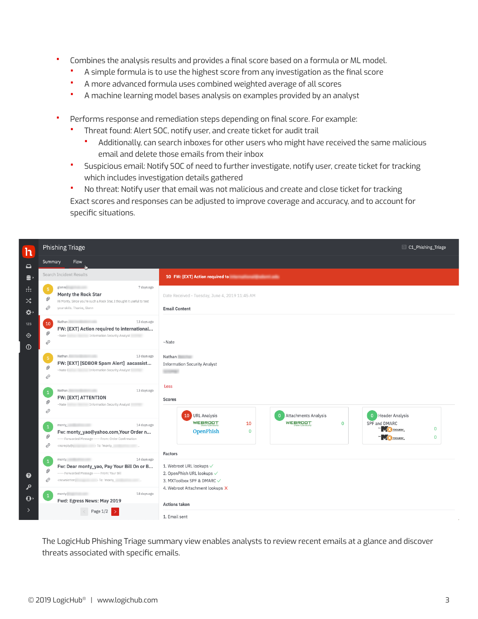- **•** Combines the analysis results and provides a final score based on a formula or ML model.
	- **•** A simple formula is to use the highest score from any investigation as the final score
	- **•** A more advanced formula uses combined weighted average of all scores
	- **•** A machine learning model bases analysis on examples provided by an analyst
- **•** Performs response and remediation steps depending on final score. For example:
	- **•** Threat found: Alert SOC, notify user, and create ticket for audit trail
		- **•** Additionally, can search inboxes for other users who might have received the same malicious email and delete those emails from their inbox
	- **•** Suspicious email: Notify SOC of need to further investigate, notify user, create ticket for tracking which includes investigation details gathered
	- **•** No threat: Notify user that email was not malicious and create and close ticket for tracking Exact scores and responses can be adjusted to improve coverage and accuracy, and to account for specific situations.

| $\overline{\mathsf{h}}$                                               | <b>Phishing Triage</b>                                                                                                                                                                                                                                                                                                                                                                                                                     | C1_Phishing_Triage                                                                                                                                                      |
|-----------------------------------------------------------------------|--------------------------------------------------------------------------------------------------------------------------------------------------------------------------------------------------------------------------------------------------------------------------------------------------------------------------------------------------------------------------------------------------------------------------------------------|-------------------------------------------------------------------------------------------------------------------------------------------------------------------------|
| $\Box$                                                                | Flow<br>Summary                                                                                                                                                                                                                                                                                                                                                                                                                            |                                                                                                                                                                         |
| $\mathbf{e}$                                                          | Search Incident Results                                                                                                                                                                                                                                                                                                                                                                                                                    | 10 FW: [EXT] Action required to the contract of the contract of the contract of the contract of the contract of                                                         |
| $\frac{1}{2}$<br>$\mathbf{x}^*$<br>☆<br>123<br>$\bigoplus$<br>$\odot$ | glenn(<br>7 days ago<br>- 5<br>Monty the Rock Star<br>Ø<br>Hi Monty, Since you're such a Rock Star, I thought it useful to test<br>€<br>your skills. Thanks, Glenn                                                                                                                                                                                                                                                                         | Date Received - Tuesday, June 4, 2019 11:45 AM<br><b>Email Content</b>                                                                                                  |
|                                                                       | 13 days ago<br>Nathan.<br>10<br>FW: [EXT] Action required to international<br>Ø<br>€                                                                                                                                                                                                                                                                                                                                                       | $~\sim$ Nate                                                                                                                                                            |
|                                                                       | <b>CONTRACTOR</b><br>Nathan.<br>13 days ago<br>$-5$<br>FW: [EXT] [SDBOR Spam Alert] aacassist<br>0<br>-Nate I Information Security Analyst!<br>€                                                                                                                                                                                                                                                                                           | <b>Nathan</b><br><b>Information Security Analyst</b><br><b>SERVICE</b>                                                                                                  |
|                                                                       | Nathan.<br>13 days ago<br>$\overline{1}$<br><b>FW: [EXT] ATTENTION</b><br>O.<br>€                                                                                                                                                                                                                                                                                                                                                          | Less<br><b>Scores</b><br>10 URL Analysis<br>0 Attachments Analysis<br>0 Header Analysis                                                                                 |
|                                                                       | monty_<br>14 days ago<br>$\mathbf{1}$<br>Fw: monty_yao@yahoo.com,Your Order n<br>0<br>----- Forwarded Message ----- From: Order Confirmation<br>€                                                                                                                                                                                                                                                                                          | <b>WEBROOT</b><br><b>WEBROOT</b><br>SPF and DMARC<br>10<br>$\mathbf 0$<br>TWO TOOLBOX<br>$\overline{0}$<br>OpenPhish<br>$\mathbf 0$<br><b>NO TOOLBOX</b><br>$\mathbf 0$ |
| ➊<br>م                                                                | monty, and the month of the state of the state of the state of the state of the state of the state of the state of the state of the state of the state of the state of the state of the state of the state of the state of the<br>14 days ago<br>$\mathbf{1}$<br>Fw: Dear monty_yao, Pay Your Bill On or B<br>0<br>----- Forwarded Message ----- From: Your Bill<br>€<br><newsletter( <math="">\rightarrow To: 'monty_ To: '</newsletter(> | <b>Factors</b><br>1. Webroot URL lookups $\checkmark$<br>2. OpenPhish URL lookups √<br>3. MXToolbox SPF & DMARC √                                                       |
| $\mathbf{\Theta}$<br>$\left\langle \right\rangle$                     | monty<br>18 days ago<br>Fwd: Egress News: May 2019<br>Page 1/2                                                                                                                                                                                                                                                                                                                                                                             | 4. Webroot Attachment lookups X<br><b>Actions taken</b><br>1. Email sent                                                                                                |

The LogicHub Phishing Triage summary view enables analysts to review recent emails at a glance and discover threats associated with specific emails.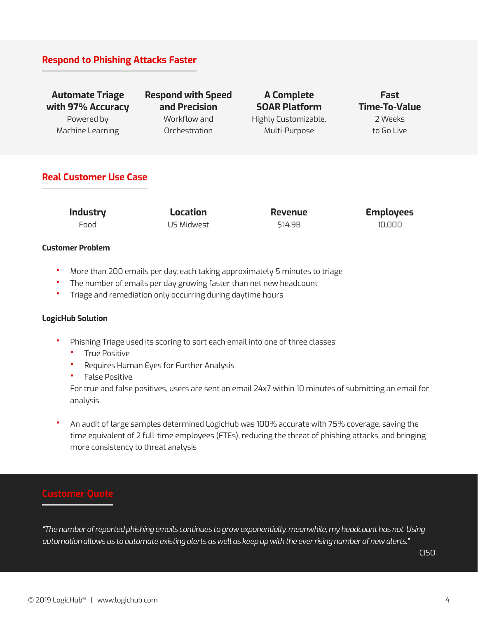#### **Respond to Phishing Attacks Faster**

**Automate Triage with 97% Accuracy** Powered by Machine Learning

**Respond with Speed and Precision** Workflow and Orchestration

**A Complete SOAR Platform** Highly Customizable, Multi-Purpose

**Fast Time-To-Value** 2 Weeks to Go Live

#### **Real Customer Use Case**

**Industry** Food

**Location** US Midwest **Revenue** \$14.9B

**Employees** 10,000

#### **Customer Problem**

- **•** More than 200 emails per day, each taking approximately 5 minutes to triage
- **•** The number of emails per day growing faster than net new headcount
- **•** Triage and remediation only occurring during daytime hours

#### **LogicHub Solution**

- **•** Phishing Triage used its scoring to sort each email into one of three classes:
	- **•** True Positive
	- **•** Requires Human Eyes for Further Analysis
	- **•** False Positive

For true and false positives, users are sent an email 24x7 within 10 minutes of submitting an email for analysis.

**•** An audit of large samples determined LogicHub was 100% accurate with 75% coverage, saving the time equivalent of 2 full-time employees (FTEs), reducing the threat of phishing attacks, and bringing more consistency to threat analysis

*"The number of reported phishing emails continues to grow exponentially, meanwhile, my headcount has not. Using automation allows us to automate existing alerts as well as keep up with the ever rising number of new alerts."*

CISO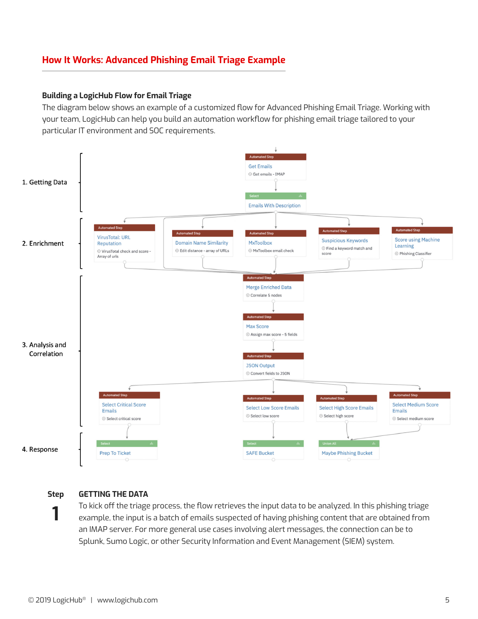## **How It Works: Advanced Phishing Email Triage Example**

#### **Building a LogicHub Flow for Email Triage**

The diagram below shows an example of a customized flow for Advanced Phishing Email Triage. Working with your team, LogicHub can help you build an automation workflow for phishing email triage tailored to your particular IT environment and SOC requirements.



**Step**

**1**

#### **GETTING THE DATA**

To kick off the triage process, the flow retrieves the input data to be analyzed. In this phishing triage example, the input is a batch of emails suspected of having phishing content that are obtained from an IMAP server. For more general use cases involving alert messages, the connection can be to Splunk, Sumo Logic, or other Security Information and Event Management (SIEM) system.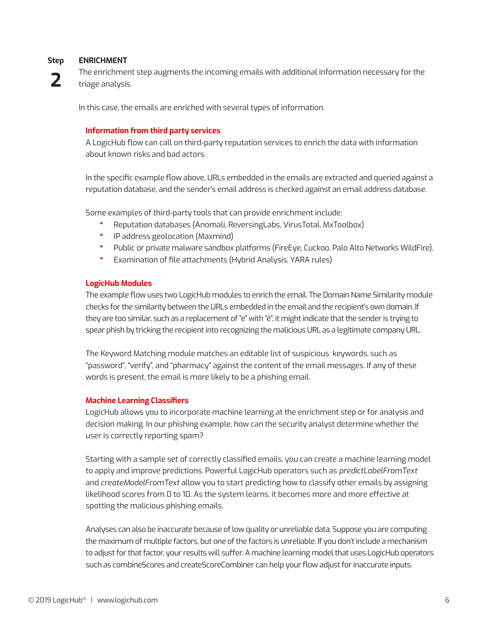#### **Step ENRICHMENT**

**2**

The enrichment step augments the incoming emails with additional information necessary for the triage analysis.

In this case, the emails are enriched with several types of information.

#### **Information from third party services**

A LogicHub flow can call on third-party reputation services to enrich the data with information about known risks and bad actors.

In the specific example flow above, URLs embedded in the emails are extracted and queried against a reputation database, and the sender's email address is checked against an email address database.

Some examples of third-party tools that can provide enrichment include:

- **•** Reputation databases (Anomali, ReversingLabs, VirusTotal, MxToolbox)
- **•** IP address geolocation (Maxmind)
- **•** Public or private malware sandbox platforms (FireEye, Cuckoo, Palo Alto Networks WildFire).
- **•** Examination of file attachments (Hybrid Analysis, YARA rules)

#### **LogicHub Modules**

The example flow uses two LogicHub modules to enrich the email. The Domain Name Similarity module checks for the similarity between the URLs embedded in the email and the recipient's own domain. If they are too similar, such as a replacement of "e" with "ê", it might indicate that the sender is trying to spear phish by tricking the recipient into recognizing the malicious URL as a legitimate company URL.

The Keyword Matching module matches an editable list of suspicious keywords, such as "password", "verify", and "pharmacy" against the content of the email messages. If any of these words is present, the email is more likely to be a phishing email.

#### **Machine Learning Classifiers**

LogicHub allows you to incorporate machine learning at the enrichment step or for analysis and decision making. In our phishing example, how can the security analyst determine whether the user is correctly reporting spam?

Starting with a sample set of correctly classified emails, you can create a machine learning model to apply and improve predictions. Powerful LogicHub operators such as *predictLabelFromText* and *createModelFromText* allow you to start predicting how to classify other emails by assigning likelihood scores from 0 to 10. As the system learns, it becomes more and more effective at spotting the malicious phishing emails.

Analyses can also be inaccurate because of low quality or unreliable data. Suppose you are computing the maximum of multiple factors, but one of the factors is unreliable. If you don't include a mechanism to adjust for that factor, your results will suffer. A machine learning model that uses LogicHub operators such as combineScores and createScoreCombiner can help your flow adjust for inaccurate inputs.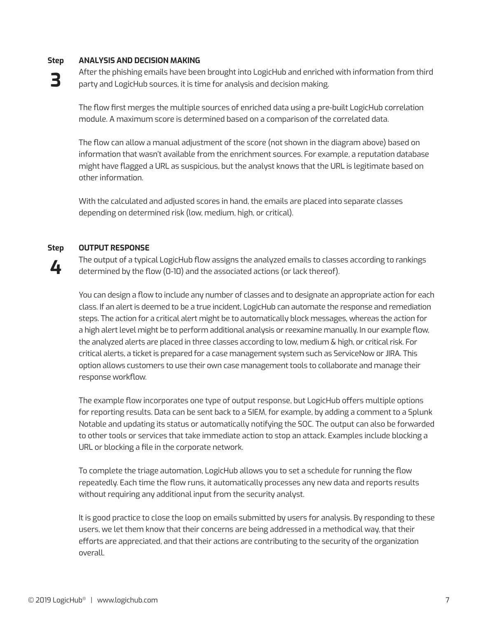#### **Step ANALYSIS AND DECISION MAKING**

**3** After the phishing emails have been brought into LogicHub and enriched with information from third party and LogicHub sources, it is time for analysis and decision making.

The flow first merges the multiple sources of enriched data using a pre-built LogicHub correlation module. A maximum score is determined based on a comparison of the correlated data.

The flow can allow a manual adjustment of the score (not shown in the diagram above) based on information that wasn't available from the enrichment sources. For example, a reputation database might have flagged a URL as suspicious, but the analyst knows that the URL is legitimate based on other information.

With the calculated and adjusted scores in hand, the emails are placed into separate classes depending on determined risk (low, medium, high, or critical).

#### **Step OUTPUT RESPONSE**

**4**

The output of a typical LogicHub flow assigns the analyzed emails to classes according to rankings determined by the flow (0-10) and the associated actions (or lack thereof).

You can design a flow to include any number of classes and to designate an appropriate action for each class. If an alert is deemed to be a true incident, LogicHub can automate the response and remediation steps. The action for a critical alert might be to automatically block messages, whereas the action for a high alert level might be to perform additional analysis or reexamine manually. In our example flow, the analyzed alerts are placed in three classes according to low, medium & high, or critical risk. For critical alerts, a ticket is prepared for a case management system such as ServiceNow or JIRA. This option allows customers to use their own case management tools to collaborate and manage their response workflow.

The example flow incorporates one type of output response, but LogicHub offers multiple options for reporting results. Data can be sent back to a SIEM, for example, by adding a comment to a Splunk Notable and updating its status or automatically notifying the SOC. The output can also be forwarded to other tools or services that take immediate action to stop an attack. Examples include blocking a URL or blocking a file in the corporate network.

To complete the triage automation, LogicHub allows you to set a schedule for running the flow repeatedly. Each time the flow runs, it automatically processes any new data and reports results without requiring any additional input from the security analyst.

It is good practice to close the loop on emails submitted by users for analysis. By responding to these users, we let them know that their concerns are being addressed in a methodical way, that their efforts are appreciated, and that their actions are contributing to the security of the organization overall.